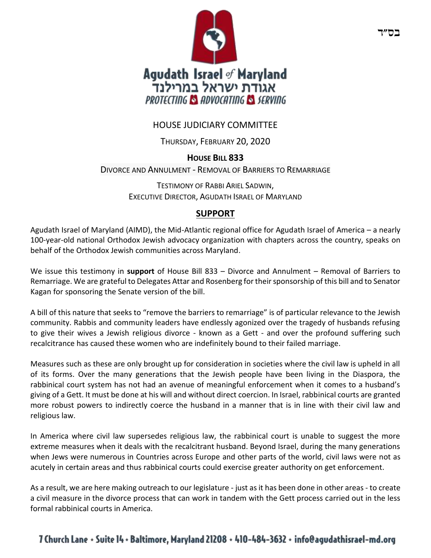

## HOUSE JUDICIARY COMMITTEE

THURSDAY, FEBRUARY 20, 2020

## **HOUSE BILL 833**

DIVORCE AND ANNULMENT - REMOVAL OF BARRIERS TO REMARRIAGE

TESTIMONY OF RABBI ARIEL SADWIN, EXECUTIVE DIRECTOR, AGUDATH ISRAEL OF MARYLAND

## **SUPPORT**

Agudath Israel of Maryland (AIMD), the Mid-Atlantic regional office for Agudath Israel of America – a nearly 100-year-old national Orthodox Jewish advocacy organization with chapters across the country, speaks on behalf of the Orthodox Jewish communities across Maryland.

We issue this testimony in **support** of House Bill 833 – Divorce and Annulment – Removal of Barriers to Remarriage. We are grateful to Delegates Attar and Rosenberg for their sponsorship of this bill and to Senator Kagan for sponsoring the Senate version of the bill.

A bill of this nature that seeks to "remove the barriers to remarriage" is of particular relevance to the Jewish community. Rabbis and community leaders have endlessly agonized over the tragedy of husbands refusing to give their wives a Jewish religious divorce - known as a Gett - and over the profound suffering such recalcitrance has caused these women who are indefinitely bound to their failed marriage.

Measures such as these are only brought up for consideration in societies where the civil law is upheld in all of its forms. Over the many generations that the Jewish people have been living in the Diaspora, the rabbinical court system has not had an avenue of meaningful enforcement when it comes to a husband's giving of a Gett. It must be done at his will and without direct coercion. In Israel, rabbinical courts are granted more robust powers to indirectly coerce the husband in a manner that is in line with their civil law and religious law.

In America where civil law supersedes religious law, the rabbinical court is unable to suggest the more extreme measures when it deals with the recalcitrant husband. Beyond Israel, during the many generations when Jews were numerous in Countries across Europe and other parts of the world, civil laws were not as acutely in certain areas and thus rabbinical courts could exercise greater authority on get enforcement.

As a result, we are here making outreach to our legislature - just as it has been done in other areas - to create a civil measure in the divorce process that can work in tandem with the Gett process carried out in the less formal rabbinical courts in America.